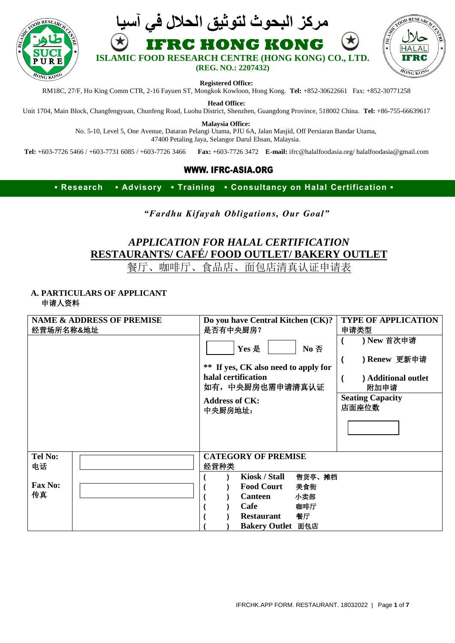





**Registered Office:**

RM18C, 27/F, Ho King Comm CTR, 2-16 Fayuen ST, Mongkok Kowloon, Hong Kong. **Tel:** +852-30622661 Fax: +852-30771258

**Head Office:**

Unit 1704, Main Block, Changfengyuan, Chunfeng Road, Luohu District, Shenzhen, Guangdong Province, 518002 China. **Tel:** +86-755-66639617

**Malaysia Office:**

No. 5-10, Level 5, One Avenue, Dataran Pelangi Utama, PJU 6A, Jalan Masjid, Off Persiaran Bandar Utama, 47400 Petaling Jaya, Selangor Darul Ehsan, Malaysia.

**Tel:** +603-7726 5466 / +603-7731 6085 / +603-7726 3466 **Fax:** +603-7726 3472 **E-mail:** ifrc@halalfoodasia.org/ halalfoodasia@gmail.com

#### **WWW. IFRC-ASIA.ORG**

**▪ Research ▪ Advisory ▪ Training ▪ Consultancy on Halal Certification ▪**

*"Fardhu Kifayah Obligations, Our Goal"*

# *APPLICATION FOR HALAL CERTIFICATION* **RESTAURANTS/ CAFÉ/ FOOD OUTLET/ BAKERY OUTLET**

餐厅、咖啡厅、食品店、面包店清真认证申请表

#### **A. PARTICULARS OF APPLICANT** 申请人资料

| 经营场所名称&地址            | <b>NAME &amp; ADDRESS OF PREMISE</b> |      | Do you have Central Kitchen (CK)?<br>是否有中央厨房?<br>Yes 是<br>No 否<br>** If yes, CK also need to apply for<br>halal certification<br>如有, 中央厨房也需申请清真认证<br><b>Address of CK:</b><br>中央厨房地址: | <b>TYPE OF APPLICATION</b><br>申请类型<br>) New 首次申请<br>) Renew 更新申请<br><b>Additional outlet</b><br>附加申请<br><b>Seating Capacity</b><br>店面座位数 |
|----------------------|--------------------------------------|------|---------------------------------------------------------------------------------------------------------------------------------------------------------------------------------------|------------------------------------------------------------------------------------------------------------------------------------------|
| <b>Tel No:</b><br>电话 |                                      | 经营种类 | <b>CATEGORY OF PREMISE</b>                                                                                                                                                            |                                                                                                                                          |
| <b>Fax No:</b><br>传真 |                                      |      | Kiosk / Stall<br>售货亭、摊档<br><b>Food Court</b><br>美食街<br>小卖部<br><b>Canteen</b><br>Cafe<br>咖啡厅<br><b>Restaurant</b><br>餐厅<br>Bakery Outlet 面包店                                           |                                                                                                                                          |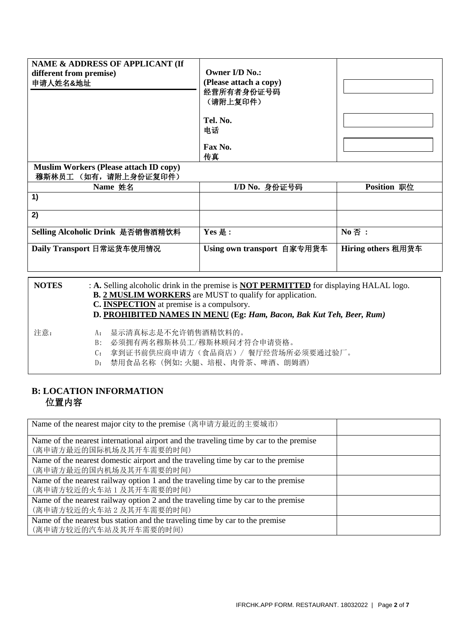| NAME & ADDRESS OF APPLICANT (If<br>different from premise)<br>申请人姓名&地址<br><b>Muslim Workers (Please attach ID copy)</b><br>穆斯林员工 (如有,请附上身份证复印件) | <b>Owner I/D No.:</b><br>(Please attach a copy)<br>经营所有者身份证号码<br>(请附上复印件)<br>Tel. No.<br>电话<br>Fax No.<br>传真 |                    |
|-------------------------------------------------------------------------------------------------------------------------------------------------|--------------------------------------------------------------------------------------------------------------|--------------------|
| Name 姓名                                                                                                                                         | I/D No. 身份证号码                                                                                                | Position 职位        |
| 1)                                                                                                                                              |                                                                                                              |                    |
| 2)                                                                                                                                              |                                                                                                              |                    |
| Selling Alcoholic Drink 是否销售酒精饮料                                                                                                                | Yes 是:                                                                                                       | No 否:              |
| Daily Transport 日常运货车使用情况                                                                                                                       | Using own transport 自家专用货车                                                                                   | Hiring others 租用货车 |

| <b>NOTES</b> | : A. Selling alcoholic drink in the premise is <b>NOT PERMITTED</b> for displaying HALAL logo.<br><b>B. 2 MUSLIM WORKERS</b> are MUST to qualify for application.<br>C. <b>INSPECTION</b> at premise is a compulsory.<br>D. PROHIBITED NAMES IN MENU (Eg: Ham, Bacon, Bak Kut Teh, Beer, Rum) |
|--------------|-----------------------------------------------------------------------------------------------------------------------------------------------------------------------------------------------------------------------------------------------------------------------------------------------|
| 注意:          | A: 显示清真标志是不允许销售酒精饮料的。<br>B: 必须拥有两名穆斯林员工/穆斯林顾问才符合申请资格。<br>拿到证书前供应商申请方(食品商店)/ 餐厅经营场所必须要通过验厂。<br>$C_{\mathbf{r}}$<br>D: 禁用食品名称 (例如: 火腿、培根、肉骨茶、啤酒、朗姆酒)                                                                                                                                            |

# **B: LOCATION INFORMATION** 位置内容

| Name of the nearest major city to the premise (离申请方最近的主要城市)                                                      |  |
|------------------------------------------------------------------------------------------------------------------|--|
| Name of the nearest international airport and the traveling time by car to the premise<br>(离申请方最近的国际机场及其开车需要的时间) |  |
| Name of the nearest domestic airport and the traveling time by car to the premise<br>(离申请方最近的国内机场及其开车需要的时间)      |  |
| Name of the nearest railway option 1 and the traveling time by car to the premise<br>(离申请方较近的火车站 1 及其开车需要的时间)    |  |
| Name of the nearest railway option 2 and the traveling time by car to the premise<br>(离申请方较近的火车站2及其开车需要的时间)      |  |
| Name of the nearest bus station and the traveling time by car to the premise<br>(离申请方较近的汽车站及其开车需要的时间)            |  |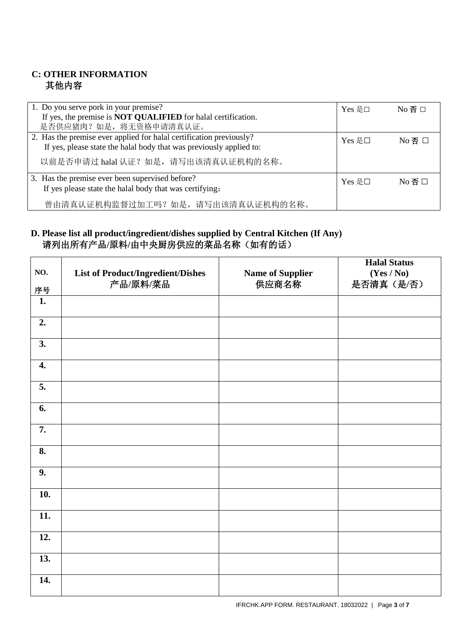## **C: OTHER INFORMATION** 其他内容

| 1. Do you serve pork in your premise?<br>If yes, the premise is <b>NOT QUALIFIED</b> for halal certification.<br>是否供应猪肉?如是,将无资格申请清真认证。                                             | Yes 是□ | $No$ 否 口         |
|------------------------------------------------------------------------------------------------------------------------------------------------------------------------------------|--------|------------------|
| 2. Has the premise ever applied for halal certification previously?<br>If yes, please state the halal body that was previously applied to:<br>以前是否申请过 halal 认证? 如是, 请写出该清真认证机构的名称。 | Yes 是□ | $No$ 否 口         |
| 3. Has the premise ever been supervised before?<br>If yes please state the halal body that was certifying.<br>曾由清真认证机构监督过加工吗?如是,请写出该清真认证机构的名称。                                     | Yes 是□ | $No$ 否 $\square$ |

### **D. Please list all product/ingredient/dishes supplied by Central Kitchen (If Any)** 请列出所有产品**/**原料**/**由中央厨房供应的菜品名称(如有的话)

| NO.                | <b>List of Product/Ingredient/Dishes</b> | <b>Name of Supplier</b> | <b>Halal Status</b><br>(Yes / No) |
|--------------------|------------------------------------------|-------------------------|-----------------------------------|
| 序号                 | 产品/原料/菜品                                 | 供应商名称                   | 是否清真(是/否)                         |
| 1.                 |                                          |                         |                                   |
| $\overline{2}$ .   |                                          |                         |                                   |
| 3.                 |                                          |                         |                                   |
| $\boldsymbol{4}$ . |                                          |                         |                                   |
| $\overline{5}$ .   |                                          |                         |                                   |
| 6.                 |                                          |                         |                                   |
| 7.                 |                                          |                         |                                   |
| 8.                 |                                          |                         |                                   |
| 9.                 |                                          |                         |                                   |
| 10.                |                                          |                         |                                   |
| 11.                |                                          |                         |                                   |
| 12.                |                                          |                         |                                   |
| 13.                |                                          |                         |                                   |
| 14.                |                                          |                         |                                   |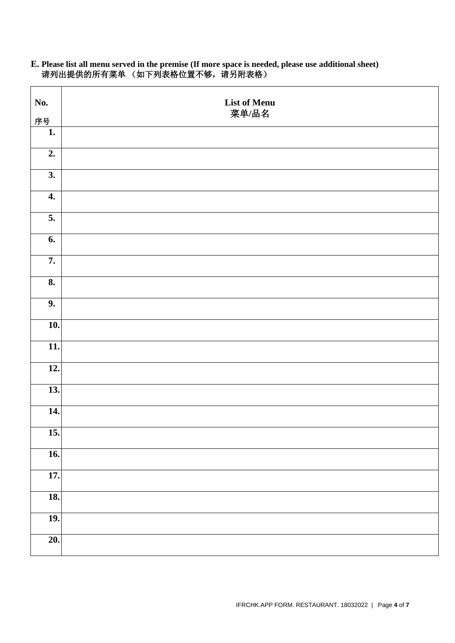| No.                       | <b>List of Menu</b> |
|---------------------------|---------------------|
| 序号                        | 菜单/品名               |
| 1.                        |                     |
| 2.                        |                     |
| $\overline{3}$ .          |                     |
| 4.                        |                     |
| 5.                        |                     |
| 6.                        |                     |
| 7.                        |                     |
| $\overline{\mathbf{8}}$ . |                     |
| 9.                        |                     |
| 10.                       |                     |
| 11.                       |                     |
| 12.                       |                     |
| 13.                       |                     |
| 14.                       |                     |
| $\overline{15.}$          |                     |
| $\overline{16}$ .         |                     |
| 17.                       |                     |
| 18.                       |                     |
| <b>19.</b>                |                     |
| $\overline{20}$ .         |                     |

#### **E. Please list all menu served in the premise (If more space is needed, please use additional sheet)** 请列出提供的所有菜单 (如下列表格位置不够,请另附表格)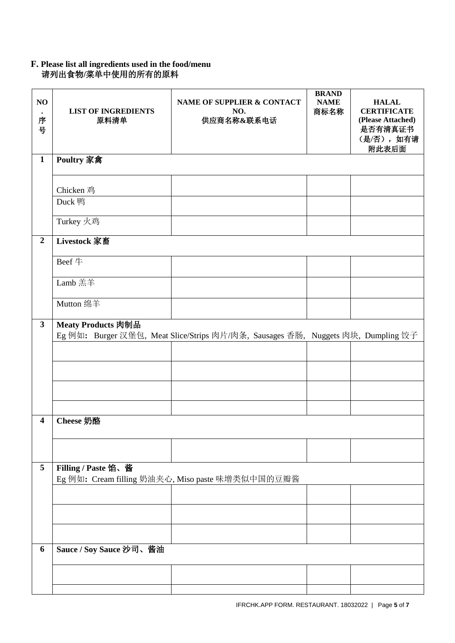#### **F. Please list all ingredients used in the food/menu** 请列出食物**/**菜单中使用的所有的原料

| NO<br>序<br>号   | <b>LIST OF INGREDIENTS</b><br>原料清单 | NAME OF SUPPLIER & CONTACT<br>NO.<br>供应商名称&联系电话                                  | <b>BRAND</b><br><b>NAME</b><br>商标名称 | <b>HALAL</b><br><b>CERTIFICATE</b><br>(Please Attached)<br>是否有清真证书<br>(是/否), 如有请<br>附此表后面 |
|----------------|------------------------------------|----------------------------------------------------------------------------------|-------------------------------------|-------------------------------------------------------------------------------------------|
| $\mathbf{1}$   | Poultry 家禽                         |                                                                                  |                                     |                                                                                           |
|                | Chicken 鸡                          |                                                                                  |                                     |                                                                                           |
|                | Duck 鸭                             |                                                                                  |                                     |                                                                                           |
|                | Turkey 火鸡                          |                                                                                  |                                     |                                                                                           |
| $\overline{2}$ | Livestock 家畜                       |                                                                                  |                                     |                                                                                           |
|                | Beef $\#$                          |                                                                                  |                                     |                                                                                           |
|                | Lamb 羔羊                            |                                                                                  |                                     |                                                                                           |
|                | Mutton 绵羊                          |                                                                                  |                                     |                                                                                           |
| $\mathbf{3}$   | Meaty Products 肉制品                 | Eg 例如: Burger 汉堡包, Meat Slice/Strips 肉片/肉条, Sausages 香肠, Nuggets 肉块, Dumpling 饺子 |                                     |                                                                                           |
| 4              |                                    |                                                                                  |                                     |                                                                                           |
|                | Cheese 奶酪                          |                                                                                  |                                     |                                                                                           |
|                |                                    |                                                                                  |                                     |                                                                                           |
| 5              | Filling / Paste 馅、酱                | Eg 例如: Cream filling 奶油夹心, Miso paste 味增类似中国的豆瓣酱                                 |                                     |                                                                                           |
|                |                                    |                                                                                  |                                     |                                                                                           |
|                |                                    |                                                                                  |                                     |                                                                                           |
|                |                                    |                                                                                  |                                     |                                                                                           |
| 6              | Sauce / Soy Sauce 沙司、酱油            |                                                                                  |                                     |                                                                                           |
|                |                                    |                                                                                  |                                     |                                                                                           |
|                |                                    |                                                                                  |                                     |                                                                                           |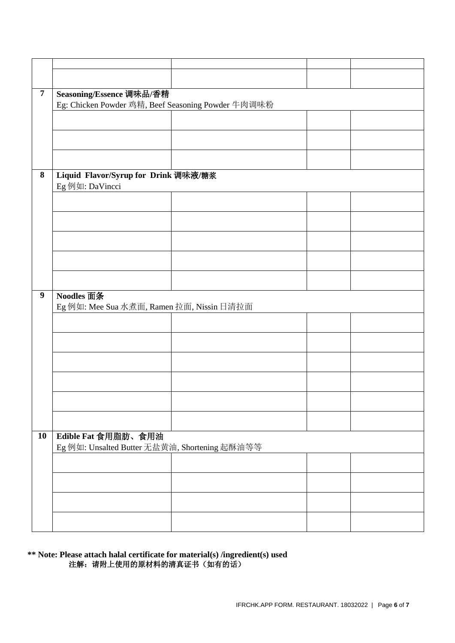| $\overline{7}$   | Seasoning/Essence 调味品/香精                           |  |  |  |  |
|------------------|----------------------------------------------------|--|--|--|--|
|                  | Eg: Chicken Powder 鸡精, Beef Seasoning Powder 牛肉调味粉 |  |  |  |  |
|                  |                                                    |  |  |  |  |
|                  |                                                    |  |  |  |  |
|                  |                                                    |  |  |  |  |
|                  |                                                    |  |  |  |  |
|                  |                                                    |  |  |  |  |
|                  |                                                    |  |  |  |  |
|                  |                                                    |  |  |  |  |
|                  |                                                    |  |  |  |  |
| $\bf 8$          | Liquid Flavor/Syrup for Drink 调味液/糖浆               |  |  |  |  |
|                  | Eg 例如: DaVincci                                    |  |  |  |  |
|                  |                                                    |  |  |  |  |
|                  |                                                    |  |  |  |  |
|                  |                                                    |  |  |  |  |
|                  |                                                    |  |  |  |  |
|                  |                                                    |  |  |  |  |
|                  |                                                    |  |  |  |  |
|                  |                                                    |  |  |  |  |
|                  |                                                    |  |  |  |  |
|                  |                                                    |  |  |  |  |
|                  |                                                    |  |  |  |  |
|                  |                                                    |  |  |  |  |
|                  |                                                    |  |  |  |  |
|                  |                                                    |  |  |  |  |
| $\boldsymbol{9}$ | Noodles 面条                                         |  |  |  |  |
|                  | Eg 例如: Mee Sua 水煮面, Ramen 拉面, Nissin 日清拉面          |  |  |  |  |
|                  |                                                    |  |  |  |  |
|                  |                                                    |  |  |  |  |
|                  |                                                    |  |  |  |  |
|                  |                                                    |  |  |  |  |
|                  |                                                    |  |  |  |  |
|                  |                                                    |  |  |  |  |
|                  |                                                    |  |  |  |  |
|                  |                                                    |  |  |  |  |
|                  |                                                    |  |  |  |  |
|                  |                                                    |  |  |  |  |
|                  |                                                    |  |  |  |  |
|                  |                                                    |  |  |  |  |
|                  |                                                    |  |  |  |  |
|                  |                                                    |  |  |  |  |
|                  |                                                    |  |  |  |  |
|                  |                                                    |  |  |  |  |
| 10               | Edible Fat 食用脂肪、食用油                                |  |  |  |  |
|                  |                                                    |  |  |  |  |
|                  | Eg 例如: Unsalted Butter 无盐黄油, Shortening 起酥油等等      |  |  |  |  |
|                  |                                                    |  |  |  |  |
|                  |                                                    |  |  |  |  |
|                  |                                                    |  |  |  |  |
|                  |                                                    |  |  |  |  |
|                  |                                                    |  |  |  |  |
|                  |                                                    |  |  |  |  |
|                  |                                                    |  |  |  |  |
|                  |                                                    |  |  |  |  |

#### **\*\* Note: Please attach halal certificate for material(s) /ingredient(s) used**  注解: 请附上使用的原材料的清真证书(如有的话)